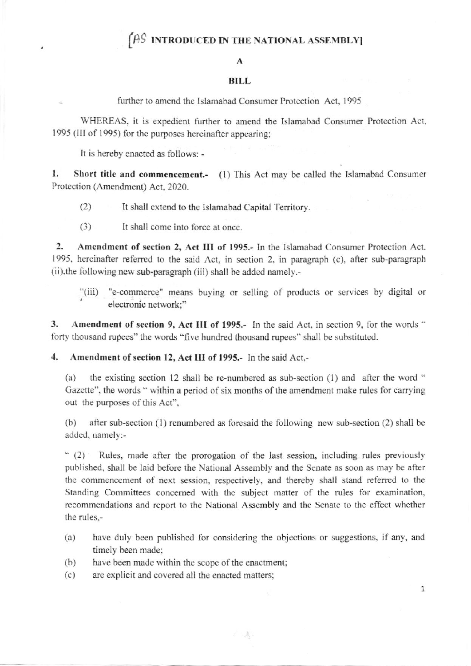## $\left(\widehat{P}S \right)$  INTRODUCED IN THE NATIONAL ASSEMBLY

#### A

#### BILL

further to amend the Islamabad Consumer Protection Act, 1995

WHEREAS, it is expedient further to amend the Islamabad Consumer Protection Act, 1995 (III of 1995) for the purposes hereinafter appearing;

It is hereby enacted as follows: -

 $\leq$ 

1. Short title and commencement.- (1) This Act may be called the Islamabad Consumer Protection (Amendment) Act, 2020.

(2) It shall extend to the Islamabad Capital Territory.

(3) It shall come inlo force at once.

2. Amendment of section 2, Act III of 1995.- In the Islamabad Consumer Protection Act. 1995. hereinafter referrcd to the said Act, in section 2. in paragraph (c). after sub-pangraph (ii).the following new sub-paragraph (iii) shall be added namely.-

"(iii) "e-commerce" means buying or selling of products or services by digital or electronic network:"

3. Amendment of section 9, Act III of 1995.- In the said Act, in section 9, for the words " forty thousand rupees" the words "five hundred thousand rupees" shall be substituted.

4. Amendment of section 12, Act III of 1995.- In the said Act,-

(a) the existing section 12 shall be re-numbered as sub-section  $(1)$  and after the word " Gazette", the words " within a period of six months of the amendment make rules for carrying out the purposes of this Act",

(b) after sub-section (1) renumbered as foresaid the following new sub-section (2) shall be added. namely:-

" (2) Rules, made after the prorogation of the last session, including rules previously published, shall be laid before the National Assembly and the Senate as soon as may be after the commencement of next session, respectively, and thereby shall stand referred to the Standing Committees concerned with the subject matter of the rules for examination, recommendations and report to the National Assembly and the Senate to the effect whether the rules,-

(a) have duly been published for considering the objections or suggestions, if any, and timely been made;

不透

- (b) have been made within the scope of the enactment;
- (c) are explicit and covered all the enacted mattersi

1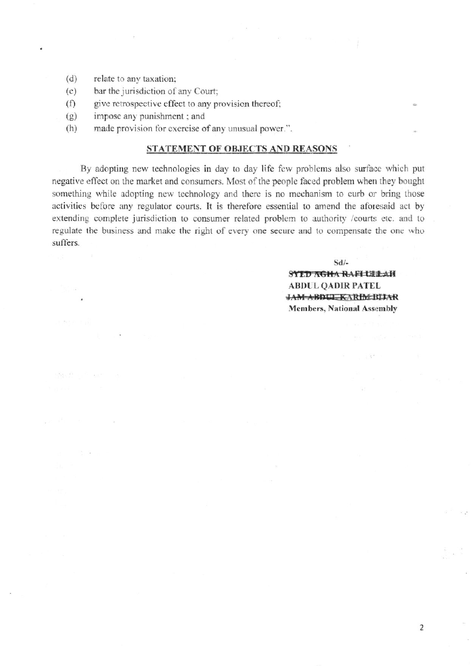$(d)$ relate to any taxation;

壁中登山百一幅

P. G

- $(e)$ bar the jurisdiction of any Court;
- give retrospective effect to any provision thereof;  $(f)$
- impose any punishment; and  $(g)$
- $(h)$ made provision for exercise of any unusual power.".

### STATEMENT OF OBJECTS AND REASONS

By adopting new technologies in day to day life few problems also surface which put negative effect on the market and consumers. Most of the people faced problem when they bought something while adopting new technology and there is no mechanism to curb or bring those activities before any regulator courts. It is therefore essential to amend the aforesaid act by extending complete jurisdiction to consumer related problem to authority /courts etc. and to regulate the business and make the right of every one secure and to compensate the one who suffers.

 $Sd$ <sup>-</sup>

**SYLD AGHA RAFILLELAN ABDUL QADIR PATEL** JAM-ABDUL KARIM BIJAR **Members, National Assembly** 

 $\frac{1}{2}$  ,  $\frac{1}{2}$  ,  $\frac{1}{2}$  ,  $\frac{1}{2}$ 

 $\overline{2}$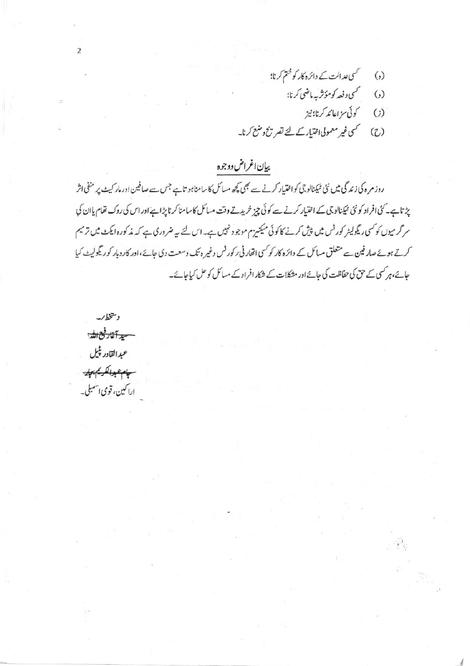- کسی عد الت کے دائرہ کار کو ختم کرنا؛  $\left( \begin{matrix} \cdot \\ \cdot \end{matrix} \right)$ 
	- گىي د فعه كومۇشبە ماضى كرنا؛  $\ddot{\omega}$ 
		- كوئي سزاعا تدكرنا؛ نيز  $\circ$
- کسی غیر معمولی اختیار کے لئے تصر تج دعنع کرنا۔  $(2)$

# بيإن اغراض ووجوه

روز مرہ کی زندگی میں نئی میکنالوجی کواختیار کرنے سے بھی کچھ مسائل کا سامناہو تاہے جس سے صافین اور مار کیٹ پر منفی اثر یژ تاہے۔ کٹی افراد کونٹی ٹیکنالوجی کے اختیار کرنے سے کوئی چیز خریدتے وقت مسائل کاسامنا کرناپڑاہے اور اس کی روک تھام پاان کی سر گرمیوں کو کسی ریگولیٹر کورٹس میں پیش کرنے کا کوئی میکنیزم موجود نہیں ہے۔اس لئے یہ ضروری ہے کہ مذکورہ ایکٹ میں ترمیم کرتے ہوئے صارفین سے متعلق مسائل کے دائرہ کار کو کسی اتھار ٹی رکورٹس وغیر ہ تک وسعت دی جائے،اور کاروبار کو ریگولیٹ کیا جائے،ہر کسی کے حق کی حفاظت کی جائے اور مشکلات کے شکار افراد کے مسائل کو حل کیاجائے۔

دىتخط/پە <del>سيد آغاد فيح الله</del> عيدالقادر پٺيل سيلبو بالكريم يباير اراكىين، قومى اسىبلى \_